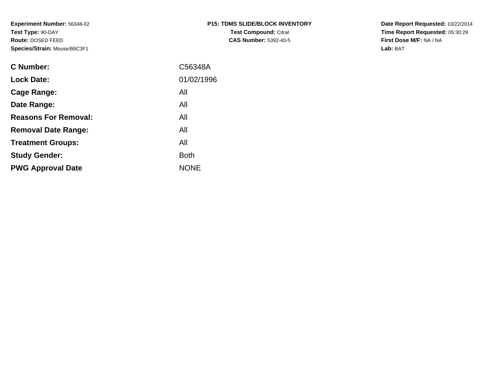**Experiment Number:** 56348-02**Test Type:** 90-DAY **Route:** DOSED FEED**Species/Strain:** Mouse/B6C3F1

| <b>P15: TDMS SLIDE/BLOCK INVENTORY</b> |  |  |  |  |  |  |  |
|----------------------------------------|--|--|--|--|--|--|--|
| <b>Test Compound: Citral</b>           |  |  |  |  |  |  |  |
| <b>CAS Number: 5392-40-5</b>           |  |  |  |  |  |  |  |

**Date Report Requested:** 10/22/2014 **Time Report Requested:** 05:30:29**First Dose M/F:** NA / NA**Lab:** BAT

| C Number:                   | C56348A     |
|-----------------------------|-------------|
| <b>Lock Date:</b>           | 01/02/1996  |
| Cage Range:                 | All         |
| Date Range:                 | All         |
| <b>Reasons For Removal:</b> | All         |
| <b>Removal Date Range:</b>  | All         |
| <b>Treatment Groups:</b>    | All         |
| <b>Study Gender:</b>        | <b>Both</b> |
| <b>PWG Approval Date</b>    | <b>NONE</b> |
|                             |             |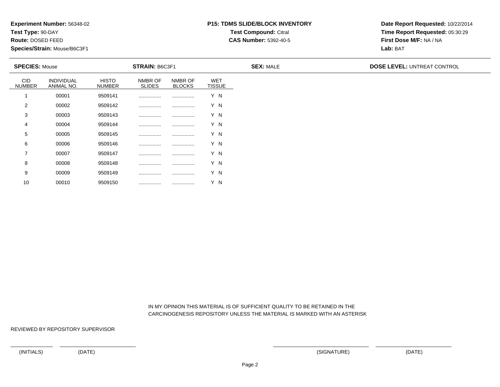**Test Type:** 90-DAY

**Route:** DOSED FEED

10

**Species/Strain:** Mouse/B6C3F1

# **P15: TDMS SLIDE/BLOCK INVENTORYTest Compound:** Citral

**CAS Number:** 5392-40-5

**Date Report Requested:** 10/22/2014**Time Report Requested:** 05:30:29**First Dose M/F:** NA / NA**Lab:** BAT

| <b>SPECIES: Mouse</b>       |                          |                               | <b>STRAIN: B6C3F1</b>    |                          |                             | <b>SEX: MALE</b> | <b>DOSE LEVEL: UNTREAT CONTROL</b> |
|-----------------------------|--------------------------|-------------------------------|--------------------------|--------------------------|-----------------------------|------------------|------------------------------------|
| <b>CID</b><br><b>NUMBER</b> | INDIVIDUAL<br>ANIMAL NO. | <b>HISTO</b><br><b>NUMBER</b> | NMBR OF<br><b>SLIDES</b> | NMBR OF<br><b>BLOCKS</b> | <b>WET</b><br><b>TISSUE</b> |                  |                                    |
|                             | 00001                    | 9509141                       |                          |                          | Y N                         |                  |                                    |
| 2                           | 00002                    | 9509142                       |                          |                          | Y N                         |                  |                                    |
| 3                           | 00003                    | 9509143                       |                          |                          | Y N                         |                  |                                    |
| 4                           | 00004                    | 9509144                       |                          |                          | Y N                         |                  |                                    |
| 5                           | 00005                    | 9509145                       |                          |                          | Y N                         |                  |                                    |
| 6                           | 00006                    | 9509146                       |                          |                          | Y N                         |                  |                                    |
| $\overline{7}$              | 00007                    | 9509147                       |                          |                          | Y N                         |                  |                                    |
| 8                           | 00008                    | 9509148                       |                          |                          | Y N                         |                  |                                    |
| 9                           | 00009                    | 9509149                       |                          |                          | Y N                         |                  |                                    |

 IN MY OPINION THIS MATERIAL IS OF SUFFICIENT QUALITY TO BE RETAINED IN THECARCINOGENESIS REPOSITORY UNLESS THE MATERIAL IS MARKED WITH AN ASTERISK

REVIEWED BY REPOSITORY SUPERVISOR

<sup>00010</sup> <sup>9509150</sup> ................ ................ Y N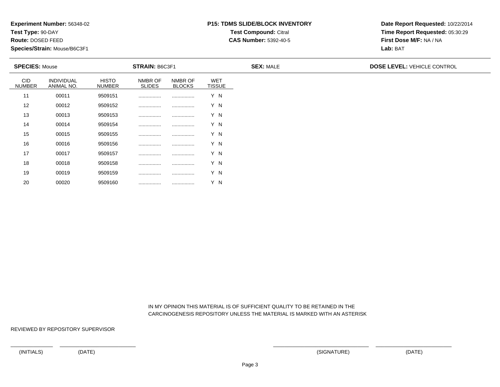**Test Type:** 90-DAY

**Route:** DOSED FEED

20

**Species/Strain:** Mouse/B6C3F1

# **P15: TDMS SLIDE/BLOCK INVENTORYTest Compound:** Citral

**CAS Number:** 5392-40-5

**Date Report Requested:** 10/22/2014**Time Report Requested:** 05:30:29**First Dose M/F:** NA / NA**Lab:** BAT

| <b>SPECIES: Mouse</b>       |                          |                               | <b>STRAIN: B6C3F1</b>    |                          |                             | <b>SEX: MALE</b> | <b>DOSE LEVEL: VEHICLE CONTROL</b> |
|-----------------------------|--------------------------|-------------------------------|--------------------------|--------------------------|-----------------------------|------------------|------------------------------------|
| <b>CID</b><br><b>NUMBER</b> | INDIVIDUAL<br>ANIMAL NO. | <b>HISTO</b><br><b>NUMBER</b> | NMBR OF<br><b>SLIDES</b> | NMBR OF<br><b>BLOCKS</b> | <b>WET</b><br><b>TISSUE</b> |                  |                                    |
| 11                          | 00011                    | 9509151                       |                          |                          | Y N                         |                  |                                    |
| 12                          | 00012                    | 9509152                       |                          |                          | Y N                         |                  |                                    |
| 13                          | 00013                    | 9509153                       |                          |                          | Y N                         |                  |                                    |
| 14                          | 00014                    | 9509154                       |                          |                          | Y N                         |                  |                                    |
| 15                          | 00015                    | 9509155                       |                          |                          | Y N                         |                  |                                    |
| 16                          | 00016                    | 9509156                       |                          |                          | Y N                         |                  |                                    |
| 17                          | 00017                    | 9509157                       |                          |                          | Y N                         |                  |                                    |
| 18                          | 00018                    | 9509158                       |                          |                          | Y N                         |                  |                                    |
| 19                          | 00019                    | 9509159                       |                          |                          | Y N                         |                  |                                    |

 IN MY OPINION THIS MATERIAL IS OF SUFFICIENT QUALITY TO BE RETAINED IN THECARCINOGENESIS REPOSITORY UNLESS THE MATERIAL IS MARKED WITH AN ASTERISK

REVIEWED BY REPOSITORY SUPERVISOR

<sup>00020</sup> <sup>9509160</sup> ................ ................ Y N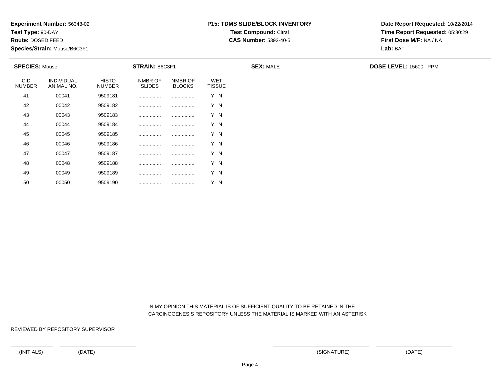**Test Type:** 90-DAY

**Route:** DOSED FEED

50

**Species/Strain:** Mouse/B6C3F1

# **P15: TDMS SLIDE/BLOCK INVENTORYTest Compound:** Citral

**CAS Number:** 5392-40-5

**Date Report Requested:** 10/22/2014**Time Report Requested:** 05:30:29**First Dose M/F:** NA / NA**Lab:** BAT

| <b>SPECIES: Mouse</b>       |                          |                               | <b>STRAIN: B6C3F1</b>    |                          |                             | <b>SEX: MALE</b> | DOSE LEVEL: 15600 PPM |
|-----------------------------|--------------------------|-------------------------------|--------------------------|--------------------------|-----------------------------|------------------|-----------------------|
| <b>CID</b><br><b>NUMBER</b> | INDIVIDUAL<br>ANIMAL NO. | <b>HISTO</b><br><b>NUMBER</b> | NMBR OF<br><b>SLIDES</b> | NMBR OF<br><b>BLOCKS</b> | <b>WET</b><br><b>TISSUE</b> |                  |                       |
| 41                          | 00041                    | 9509181                       |                          |                          | Y N                         |                  |                       |
| 42                          | 00042                    | 9509182                       |                          |                          | Y N                         |                  |                       |
| 43                          | 00043                    | 9509183                       |                          |                          | Y N                         |                  |                       |
| 44                          | 00044                    | 9509184                       |                          |                          | Y N                         |                  |                       |
| 45                          | 00045                    | 9509185                       |                          |                          | Y N                         |                  |                       |
| 46                          | 00046                    | 9509186                       |                          |                          | Y N                         |                  |                       |
| 47                          | 00047                    | 9509187                       | .                        |                          | Y N                         |                  |                       |
| 48                          | 00048                    | 9509188                       |                          |                          | Y N                         |                  |                       |
| 49                          | 00049                    | 9509189                       |                          |                          | Y N                         |                  |                       |

 IN MY OPINION THIS MATERIAL IS OF SUFFICIENT QUALITY TO BE RETAINED IN THECARCINOGENESIS REPOSITORY UNLESS THE MATERIAL IS MARKED WITH AN ASTERISK

REVIEWED BY REPOSITORY SUPERVISOR

<sup>00050</sup> <sup>9509190</sup> ................ ................ Y N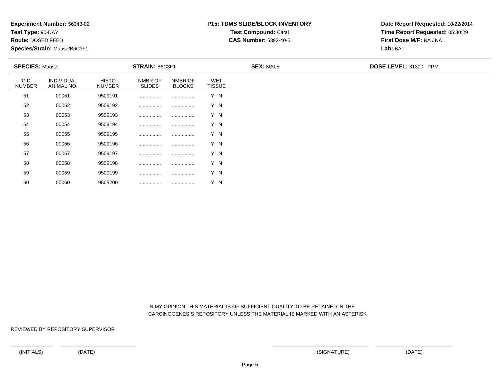**Test Type:** 90-DAY

**Route:** DOSED FEED

60

**Species/Strain:** Mouse/B6C3F1

# **P15: TDMS SLIDE/BLOCK INVENTORYTest Compound:** Citral

**CAS Number:** 5392-40-5

**Date Report Requested:** 10/22/2014**Time Report Requested:** 05:30:29**First Dose M/F:** NA / NA**Lab:** BAT

| <b>SPECIES: Mouse</b>       |                          |                               | <b>STRAIN: B6C3F1</b>    |                          |                             | <b>SEX: MALE</b> | DOSE LEVEL: 31300 PPM |  |  |
|-----------------------------|--------------------------|-------------------------------|--------------------------|--------------------------|-----------------------------|------------------|-----------------------|--|--|
| <b>CID</b><br><b>NUMBER</b> | INDIVIDUAL<br>ANIMAL NO. | <b>HISTO</b><br><b>NUMBER</b> | NMBR OF<br><b>SLIDES</b> | NMBR OF<br><b>BLOCKS</b> | <b>WET</b><br><b>TISSUE</b> |                  |                       |  |  |
| 51                          | 00051                    | 9509191                       |                          |                          | Y N                         |                  |                       |  |  |
| 52                          | 00052                    | 9509192                       |                          |                          | Y N                         |                  |                       |  |  |
| 53                          | 00053                    | 9509193                       |                          |                          | Y N                         |                  |                       |  |  |
| 54                          | 00054                    | 9509194                       |                          |                          | Y N                         |                  |                       |  |  |
| 55                          | 00055                    | 9509195                       |                          |                          | Y N                         |                  |                       |  |  |
| 56                          | 00056                    | 9509196                       | .                        |                          | Y N                         |                  |                       |  |  |
| 57                          | 00057                    | 9509197                       | .                        |                          | Y N                         |                  |                       |  |  |
| 58                          | 00058                    | 9509198                       |                          |                          | Y N                         |                  |                       |  |  |
| 59                          | 00059                    | 9509199                       |                          |                          | Y N                         |                  |                       |  |  |

 IN MY OPINION THIS MATERIAL IS OF SUFFICIENT QUALITY TO BE RETAINED IN THECARCINOGENESIS REPOSITORY UNLESS THE MATERIAL IS MARKED WITH AN ASTERISK

REVIEWED BY REPOSITORY SUPERVISOR

<sup>00060</sup> <sup>9509200</sup> ................ ................ Y N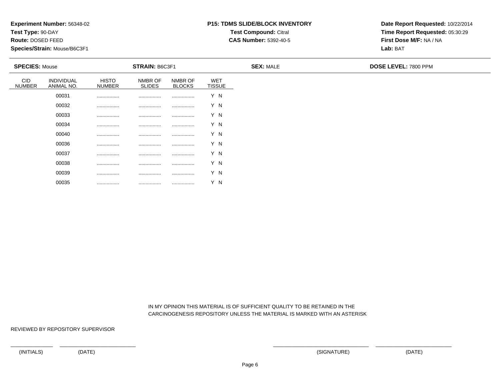**Test Type:** 90-DAY

**Route:** DOSED FEED

**Species/Strain:** Mouse/B6C3F1

## **P15: TDMS SLIDE/BLOCK INVENTORYTest Compound:** Citral

**CAS Number:** 5392-40-5

**Date Report Requested:** 10/22/2014**Time Report Requested:** 05:30:29**First Dose M/F:** NA / NA**Lab:** BAT

| <b>SPECIES: Mouse</b>       |                          |                               | <b>STRAIN: B6C3F1</b>    |                          |                      | <b>SEX: MALE</b> | <b>DOSE LEVEL: 7800 PPM</b> |
|-----------------------------|--------------------------|-------------------------------|--------------------------|--------------------------|----------------------|------------------|-----------------------------|
| <b>CID</b><br><b>NUMBER</b> | INDIVIDUAL<br>ANIMAL NO. | <b>HISTO</b><br><b>NUMBER</b> | NMBR OF<br><b>SLIDES</b> | NMBR OF<br><b>BLOCKS</b> | WET<br><b>TISSUE</b> |                  |                             |
|                             | 00031                    |                               |                          |                          | Y N                  |                  |                             |
|                             | 00032                    |                               |                          | .                        | Y N                  |                  |                             |
|                             | 00033                    |                               |                          | .                        | Y N                  |                  |                             |
|                             | 00034                    | .                             | .                        | .                        | Y N                  |                  |                             |
|                             | 00040                    | .                             | .                        | .                        | Y N                  |                  |                             |
|                             | 00036                    | .                             | .                        |                          | Y N                  |                  |                             |
|                             | 00037                    | .                             | .                        | .                        | Y N                  |                  |                             |
|                             | 00038                    | .                             | .                        | .                        | Y N                  |                  |                             |
|                             | 00039                    | .                             | .                        | .                        | Y N                  |                  |                             |

 IN MY OPINION THIS MATERIAL IS OF SUFFICIENT QUALITY TO BE RETAINED IN THECARCINOGENESIS REPOSITORY UNLESS THE MATERIAL IS MARKED WITH AN ASTERISK

REVIEWED BY REPOSITORY SUPERVISOR

00035

................ ................ ................ Y N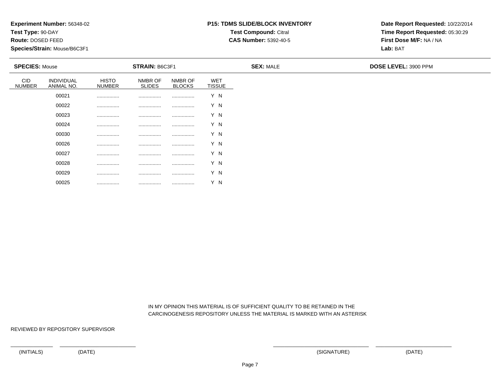**Test Type:** 90-DAY

**Route:** DOSED FEED

**Species/Strain:** Mouse/B6C3F1

## **P15: TDMS SLIDE/BLOCK INVENTORYTest Compound:** Citral

**CAS Number:** 5392-40-5

**Date Report Requested:** 10/22/2014**Time Report Requested:** 05:30:29**First Dose M/F:** NA / NA**Lab:** BAT

| <b>SPECIES: Mouse</b>       |                          |                               | <b>STRAIN: B6C3F1</b>    |                          |                             | <b>SEX: MALE</b> | <b>DOSE LEVEL: 3900 PPM</b> |
|-----------------------------|--------------------------|-------------------------------|--------------------------|--------------------------|-----------------------------|------------------|-----------------------------|
| <b>CID</b><br><b>NUMBER</b> | INDIVIDUAL<br>ANIMAL NO. | <b>HISTO</b><br><b>NUMBER</b> | NMBR OF<br><b>SLIDES</b> | NMBR OF<br><b>BLOCKS</b> | <b>WET</b><br><b>TISSUE</b> |                  |                             |
|                             | 00021                    | .                             |                          |                          | Y N                         |                  |                             |
|                             | 00022                    |                               |                          |                          | Y N                         |                  |                             |
|                             | 00023                    | .                             |                          |                          | Y N                         |                  |                             |
|                             | 00024                    | .                             |                          |                          | Y N                         |                  |                             |
|                             | 00030                    | .                             | .                        |                          | Y N                         |                  |                             |
|                             | 00026                    | .                             | .                        |                          | Y N                         |                  |                             |
|                             | 00027                    | .                             | .                        |                          | Y N                         |                  |                             |
|                             | 00028                    |                               | .                        |                          | Y N                         |                  |                             |
|                             | 00029                    | .                             | .                        |                          | Y N                         |                  |                             |

 IN MY OPINION THIS MATERIAL IS OF SUFFICIENT QUALITY TO BE RETAINED IN THECARCINOGENESIS REPOSITORY UNLESS THE MATERIAL IS MARKED WITH AN ASTERISK

REVIEWED BY REPOSITORY SUPERVISOR

00025

................ ................ ................ Y N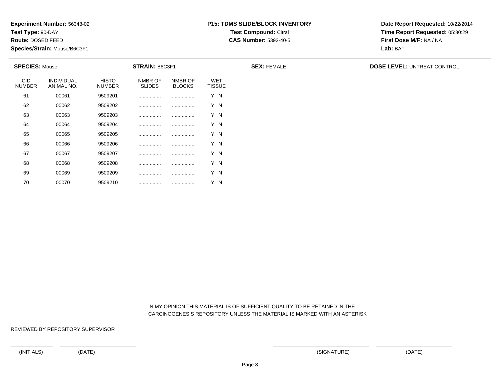**Test Type:** 90-DAY

**Route:** DOSED FEED

70

**Species/Strain:** Mouse/B6C3F1

## **P15: TDMS SLIDE/BLOCK INVENTORYTest Compound:** Citral

**CAS Number:** 5392-40-5

**Date Report Requested:** 10/22/2014**Time Report Requested:** 05:30:29**First Dose M/F:** NA / NA**Lab:** BAT

| <b>SPECIES: Mouse</b>       |                          |                               | <b>STRAIN: B6C3F1</b>    |                          |                             | <b>SEX: FEMALE</b> | <b>DOSE LEVEL: UNTREAT CONTROL</b> |
|-----------------------------|--------------------------|-------------------------------|--------------------------|--------------------------|-----------------------------|--------------------|------------------------------------|
| <b>CID</b><br><b>NUMBER</b> | INDIVIDUAL<br>ANIMAL NO. | <b>HISTO</b><br><b>NUMBER</b> | NMBR OF<br><b>SLIDES</b> | NMBR OF<br><b>BLOCKS</b> | <b>WET</b><br><b>TISSUE</b> |                    |                                    |
| 61                          | 00061                    | 9509201                       |                          |                          | Y N                         |                    |                                    |
| 62                          | 00062                    | 9509202                       |                          |                          | Y N                         |                    |                                    |
| 63                          | 00063                    | 9509203                       |                          |                          | Y N                         |                    |                                    |
| 64                          | 00064                    | 9509204                       |                          |                          | Y N                         |                    |                                    |
| 65                          | 00065                    | 9509205                       |                          |                          | Y N                         |                    |                                    |
| 66                          | 00066                    | 9509206                       |                          |                          | Y N                         |                    |                                    |
| 67                          | 00067                    | 9509207                       |                          |                          | Y N                         |                    |                                    |
| 68                          | 00068                    | 9509208                       |                          |                          | Y N                         |                    |                                    |
| 69                          | 00069                    | 9509209                       |                          |                          | Y N                         |                    |                                    |

 IN MY OPINION THIS MATERIAL IS OF SUFFICIENT QUALITY TO BE RETAINED IN THECARCINOGENESIS REPOSITORY UNLESS THE MATERIAL IS MARKED WITH AN ASTERISK

REVIEWED BY REPOSITORY SUPERVISOR

<sup>00070</sup> <sup>9509210</sup> ................ ................ Y N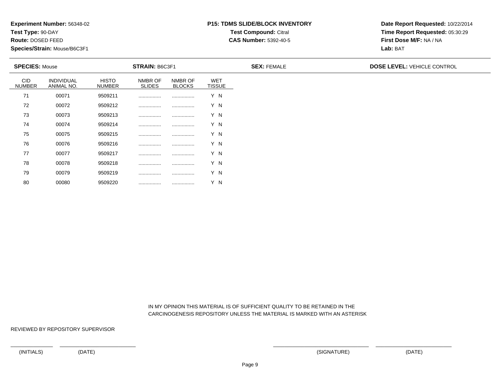**Test Type:** 90-DAY

**Route:** DOSED FEED

80

**Species/Strain:** Mouse/B6C3F1

## **P15: TDMS SLIDE/BLOCK INVENTORYTest Compound:** Citral

**CAS Number:** 5392-40-5

**Date Report Requested:** 10/22/2014**Time Report Requested:** 05:30:29**First Dose M/F:** NA / NA**Lab:** BAT

| <b>SPECIES: Mouse</b>       |                                 |                               | <b>STRAIN: B6C3F1</b>    |                          |                             | <b>SEX: FEMALE</b> | <b>DOSE LEVEL: VEHICLE CONTROL</b> |
|-----------------------------|---------------------------------|-------------------------------|--------------------------|--------------------------|-----------------------------|--------------------|------------------------------------|
| <b>CID</b><br><b>NUMBER</b> | <b>INDIVIDUAL</b><br>ANIMAL NO. | <b>HISTO</b><br><b>NUMBER</b> | NMBR OF<br><b>SLIDES</b> | NMBR OF<br><b>BLOCKS</b> | <b>WET</b><br><b>TISSUE</b> |                    |                                    |
| 71                          | 00071                           | 9509211                       |                          |                          | Y N                         |                    |                                    |
| 72                          | 00072                           | 9509212                       |                          |                          | Y N                         |                    |                                    |
| 73                          | 00073                           | 9509213                       |                          |                          | Y N                         |                    |                                    |
| 74                          | 00074                           | 9509214                       |                          |                          | Y N                         |                    |                                    |
| 75                          | 00075                           | 9509215                       |                          |                          | Y N                         |                    |                                    |
| 76                          | 00076                           | 9509216                       |                          |                          | Y N                         |                    |                                    |
| 77                          | 00077                           | 9509217                       |                          |                          | Y N                         |                    |                                    |
| 78                          | 00078                           | 9509218                       |                          |                          | Y N                         |                    |                                    |
| 79                          | 00079                           | 9509219                       |                          |                          | Y N                         |                    |                                    |

 IN MY OPINION THIS MATERIAL IS OF SUFFICIENT QUALITY TO BE RETAINED IN THECARCINOGENESIS REPOSITORY UNLESS THE MATERIAL IS MARKED WITH AN ASTERISK

REVIEWED BY REPOSITORY SUPERVISOR

<sup>00080</sup> <sup>9509220</sup> ................ ................ Y N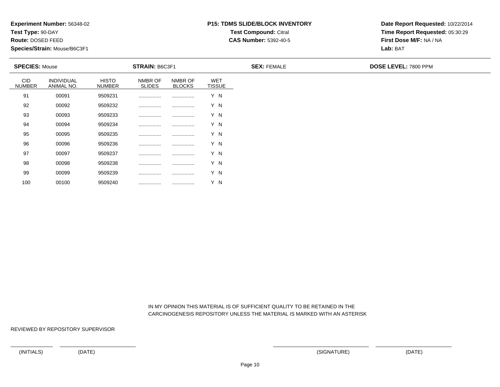**Test Type:** 90-DAY

**Route:** DOSED FEED

100

**Species/Strain:** Mouse/B6C3F1

### **P15: TDMS SLIDE/BLOCK INVENTORYTest Compound:** Citral

**CAS Number:** 5392-40-5

**Date Report Requested:** 10/22/2014**Time Report Requested:** 05:30:29**First Dose M/F:** NA / NA**Lab:** BAT

| <b>SPECIES: Mouse</b>       |                          |                               | <b>STRAIN: B6C3F1</b>    |                          |                             | <b>SEX: FEMALE</b> | <b>DOSE LEVEL: 7800 PPM</b> |
|-----------------------------|--------------------------|-------------------------------|--------------------------|--------------------------|-----------------------------|--------------------|-----------------------------|
| <b>CID</b><br><b>NUMBER</b> | INDIVIDUAL<br>ANIMAL NO. | <b>HISTO</b><br><b>NUMBER</b> | NMBR OF<br><b>SLIDES</b> | NMBR OF<br><b>BLOCKS</b> | <b>WET</b><br><b>TISSUE</b> |                    |                             |
| 91                          | 00091                    | 9509231                       |                          | .                        | Y N                         |                    |                             |
| 92                          | 00092                    | 9509232                       |                          |                          | Y N                         |                    |                             |
| 93                          | 00093                    | 9509233                       |                          |                          | Y N                         |                    |                             |
| 94                          | 00094                    | 9509234                       |                          |                          | Y N                         |                    |                             |
| 95                          | 00095                    | 9509235                       |                          |                          | Y N                         |                    |                             |
| 96                          | 00096                    | 9509236                       |                          |                          | Y N                         |                    |                             |
| 97                          | 00097                    | 9509237                       |                          |                          | Y N                         |                    |                             |
| 98                          | 00098                    | 9509238                       |                          |                          | Y N                         |                    |                             |
| 99                          | 00099                    | 9509239                       |                          |                          | Y N                         |                    |                             |

 IN MY OPINION THIS MATERIAL IS OF SUFFICIENT QUALITY TO BE RETAINED IN THECARCINOGENESIS REPOSITORY UNLESS THE MATERIAL IS MARKED WITH AN ASTERISK

REVIEWED BY REPOSITORY SUPERVISOR

<sup>00100</sup> <sup>9509240</sup> ................ ................ Y N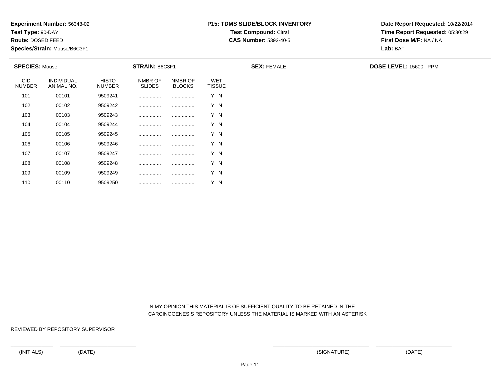**Test Type:** 90-DAY

**Route:** DOSED FEED

110

**Species/Strain:** Mouse/B6C3F1

### **P15: TDMS SLIDE/BLOCK INVENTORYTest Compound:** Citral

**CAS Number:** 5392-40-5

**Date Report Requested:** 10/22/2014**Time Report Requested:** 05:30:29**First Dose M/F:** NA / NA**Lab:** BAT

| <b>SPECIES: Mouse</b>       |                                 |                               | <b>STRAIN: B6C3F1</b>    |                          |                             | <b>SEX: FEMALE</b> | DOSE LEVEL: 15600 PPM |
|-----------------------------|---------------------------------|-------------------------------|--------------------------|--------------------------|-----------------------------|--------------------|-----------------------|
| <b>CID</b><br><b>NUMBER</b> | <b>INDIVIDUAL</b><br>ANIMAL NO. | <b>HISTO</b><br><b>NUMBER</b> | NMBR OF<br><b>SLIDES</b> | NMBR OF<br><b>BLOCKS</b> | <b>WET</b><br><b>TISSUE</b> |                    |                       |
| 101                         | 00101                           | 9509241                       |                          |                          | Y N                         |                    |                       |
| 102                         | 00102                           | 9509242                       |                          |                          | Y N                         |                    |                       |
| 103                         | 00103                           | 9509243                       |                          |                          | Y N                         |                    |                       |
| 104                         | 00104                           | 9509244                       |                          |                          | Y N                         |                    |                       |
| 105                         | 00105                           | 9509245                       |                          |                          | Y N                         |                    |                       |
| 106                         | 00106                           | 9509246                       |                          |                          | Y N                         |                    |                       |
| 107                         | 00107                           | 9509247                       |                          |                          | Y N                         |                    |                       |
| 108                         | 00108                           | 9509248                       |                          |                          | Y N                         |                    |                       |
| 109                         | 00109                           | 9509249                       |                          |                          | Y N                         |                    |                       |

 IN MY OPINION THIS MATERIAL IS OF SUFFICIENT QUALITY TO BE RETAINED IN THECARCINOGENESIS REPOSITORY UNLESS THE MATERIAL IS MARKED WITH AN ASTERISK

REVIEWED BY REPOSITORY SUPERVISOR

<sup>00110</sup> <sup>9509250</sup> ................ ................ Y N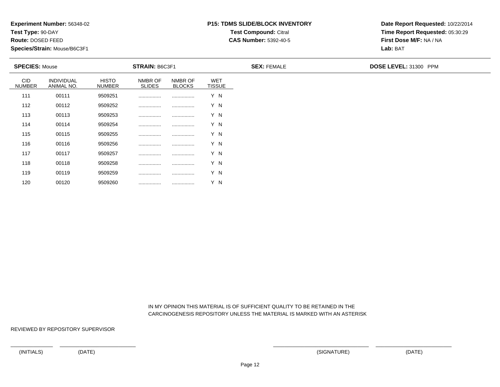**Test Type:** 90-DAY

**Route:** DOSED FEED

120

**Species/Strain:** Mouse/B6C3F1

### **P15: TDMS SLIDE/BLOCK INVENTORYTest Compound:** Citral

**CAS Number:** 5392-40-5

**Date Report Requested:** 10/22/2014**Time Report Requested:** 05:30:29**First Dose M/F:** NA / NA**Lab:** BAT

| <b>SPECIES: Mouse</b>       |                                 | <b>STRAIN: B6C3F1</b>         |                          |                          |                             | <b>SEX: FEMALE</b> | DOSE LEVEL: 31300 PPM |
|-----------------------------|---------------------------------|-------------------------------|--------------------------|--------------------------|-----------------------------|--------------------|-----------------------|
| <b>CID</b><br><b>NUMBER</b> | <b>INDIVIDUAL</b><br>ANIMAL NO. | <b>HISTO</b><br><b>NUMBER</b> | NMBR OF<br><b>SLIDES</b> | NMBR OF<br><b>BLOCKS</b> | <b>WET</b><br><b>TISSUE</b> |                    |                       |
| 111                         | 00111                           | 9509251                       |                          |                          | Y N                         |                    |                       |
| 112                         | 00112                           | 9509252                       |                          |                          | Y N                         |                    |                       |
| 113                         | 00113                           | 9509253                       |                          |                          | Y N                         |                    |                       |
| 114                         | 00114                           | 9509254                       |                          |                          | Y N                         |                    |                       |
| 115                         | 00115                           | 9509255                       |                          |                          | Y N                         |                    |                       |
| 116                         | 00116                           | 9509256                       |                          |                          | Y N                         |                    |                       |
| 117                         | 00117                           | 9509257                       |                          |                          | Y N                         |                    |                       |
| 118                         | 00118                           | 9509258                       |                          |                          | Y N                         |                    |                       |
| 119                         | 00119                           | 9509259                       |                          |                          | Y N                         |                    |                       |

 IN MY OPINION THIS MATERIAL IS OF SUFFICIENT QUALITY TO BE RETAINED IN THECARCINOGENESIS REPOSITORY UNLESS THE MATERIAL IS MARKED WITH AN ASTERISK

REVIEWED BY REPOSITORY SUPERVISOR

<sup>00120</sup> <sup>9509260</sup> ................ ................ Y N